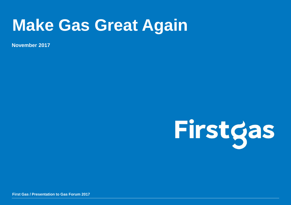## **Make Gas Great Again**

**November 2017**



**First Gas / Presentation to Gas Forum 2017**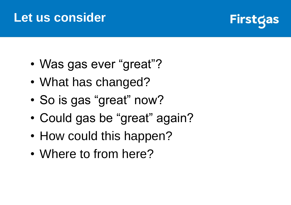#### **Let us consider**



- Was gas ever "great"?
- What has changed?
- So is gas "great" now?
- Could gas be "great" again?
- How could this happen?
- Where to from here?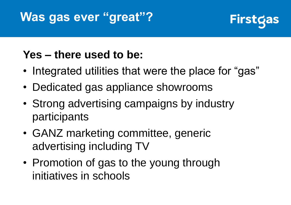### **Was gas ever "great"?**



#### **Yes – there used to be:**

- Integrated utilities that were the place for "gas"
- Dedicated gas appliance showrooms
- Strong advertising campaigns by industry participants
- GANZ marketing committee, generic advertising including TV
- Promotion of gas to the young through initiatives in schools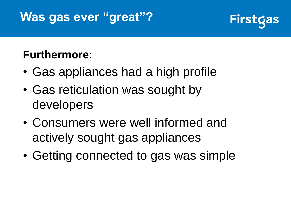## **Was gas ever "great"?**



#### **Furthermore:**

- Gas appliances had a high profile
- Gas reticulation was sought by developers
- Consumers were well informed and actively sought gas appliances
- Getting connected to gas was simple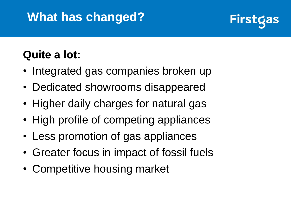## **What has changed?**



#### **Quite a lot:**

- Integrated gas companies broken up
- Dedicated showrooms disappeared
- Higher daily charges for natural gas
- High profile of competing appliances
- Less promotion of gas appliances
- Greater focus in impact of fossil fuels
- Competitive housing market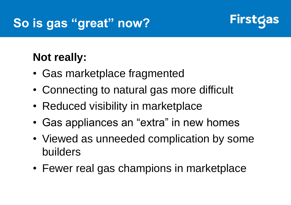

#### **Not really:**

- Gas marketplace fragmented
- Connecting to natural gas more difficult
- Reduced visibility in marketplace
- Gas appliances an "extra" in new homes
- Viewed as unneeded complication by some builders
- Fewer real gas champions in marketplace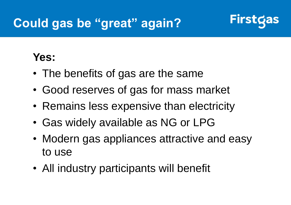### **Could gas be "great" again?**



#### **Yes:**

- The benefits of gas are the same
- Good reserves of gas for mass market
- Remains less expensive than electricity
- Gas widely available as NG or LPG
- Modern gas appliances attractive and easy to use
- All industry participants will benefit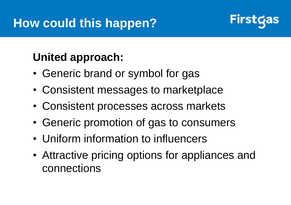

#### **United approach:**

- Generic brand or symbol for gas
- Consistent messages to marketplace
- Consistent processes across markets
- Generic promotion of gas to consumers
- Uniform information to influencers
- Attractive pricing options for appliances and connections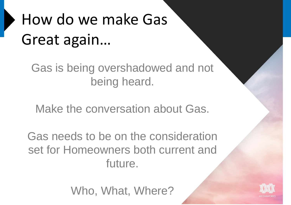# How do we make Gas Great again…

Gas is being overshadowed and not being heard.

Make the conversation about Gas.

Gas needs to be on the consideration set for Homeowners both current and future.

Who, What, Where?

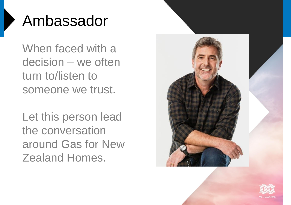## Ambassador

When faced with a decision – we often turn to/listen to someone we trust.

Let this person lead the conversation around Gas for New Zealand Homes.



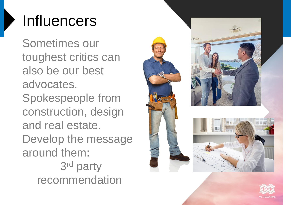## Influencers

Sometimes our toughest critics can also be our best advocates. Spokespeople from construction, design and real estate. Develop the message around them: 3<sup>rd</sup> party recommendation



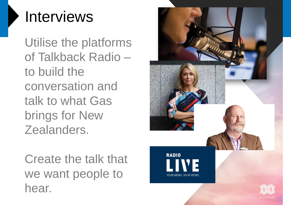## Interviews

Utilise the platforms of Talkback Radio – to build the conversation and talk to what Gas brings for New Zealanders.

Create the talk that we want people to hear.

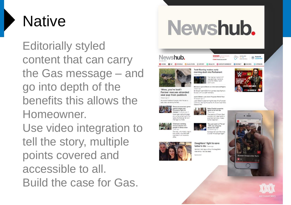

Editorially styled content that can carry the Gas message – and go into depth of the benefits this allows the Homeowner. Use video integration to

tell the story, multiple points covered and accessible to all. Build the case for Gas.

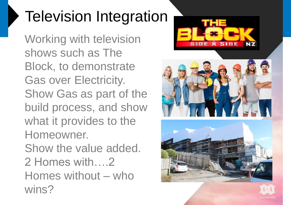# Television Integration

Working with television shows such as The Block, to demonstrate Gas over Electricity. Show Gas as part of the build process, and show what it provides to the Homeowner. Show the value added. 2 Homes with….2 Homes without – who wins?





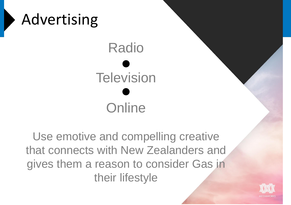

Use emotive and compelling creative that connects with New Zealanders and gives them a reason to consider Gas in their lifestyle